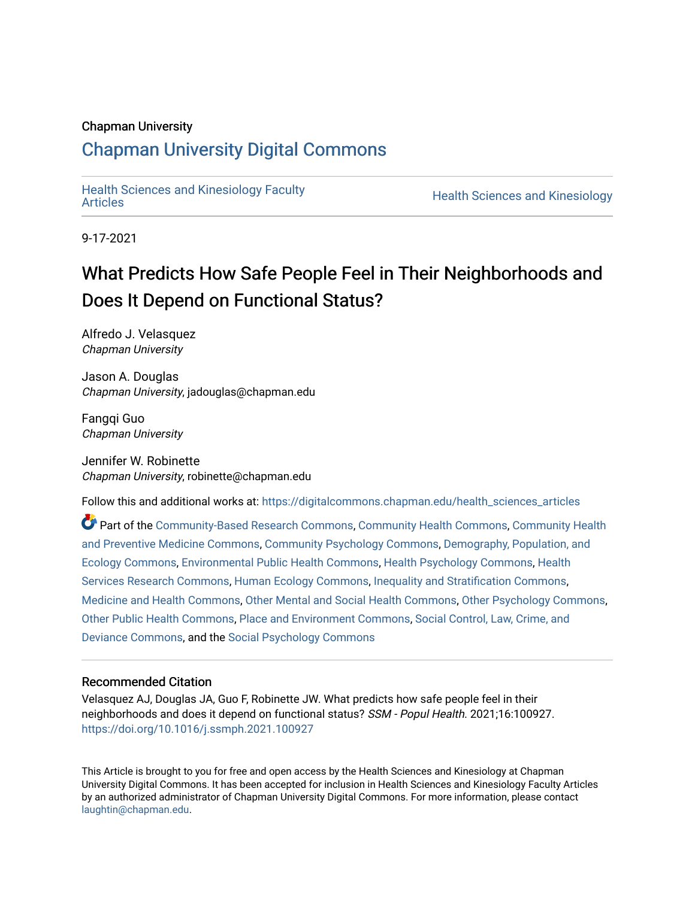# Chapman University

# [Chapman University Digital Commons](https://digitalcommons.chapman.edu/)

[Health Sciences and Kinesiology Faculty](https://digitalcommons.chapman.edu/health_sciences_articles) 

**Health Sciences and Kinesiology** 

9-17-2021

# What Predicts How Safe People Feel in Their Neighborhoods and Does It Depend on Functional Status?

Alfredo J. Velasquez Chapman University

Jason A. Douglas Chapman University, jadouglas@chapman.edu

Fangqi Guo Chapman University

Jennifer W. Robinette Chapman University, robinette@chapman.edu

Follow this and additional works at: [https://digitalcommons.chapman.edu/health\\_sciences\\_articles](https://digitalcommons.chapman.edu/health_sciences_articles?utm_source=digitalcommons.chapman.edu%2Fhealth_sciences_articles%2F12&utm_medium=PDF&utm_campaign=PDFCoverPages)

Part of the [Community-Based Research Commons](http://network.bepress.com/hgg/discipline/1047?utm_source=digitalcommons.chapman.edu%2Fhealth_sciences_articles%2F12&utm_medium=PDF&utm_campaign=PDFCoverPages), [Community Health Commons](http://network.bepress.com/hgg/discipline/714?utm_source=digitalcommons.chapman.edu%2Fhealth_sciences_articles%2F12&utm_medium=PDF&utm_campaign=PDFCoverPages), [Community Health](http://network.bepress.com/hgg/discipline/744?utm_source=digitalcommons.chapman.edu%2Fhealth_sciences_articles%2F12&utm_medium=PDF&utm_campaign=PDFCoverPages) [and Preventive Medicine Commons,](http://network.bepress.com/hgg/discipline/744?utm_source=digitalcommons.chapman.edu%2Fhealth_sciences_articles%2F12&utm_medium=PDF&utm_campaign=PDFCoverPages) [Community Psychology Commons,](http://network.bepress.com/hgg/discipline/409?utm_source=digitalcommons.chapman.edu%2Fhealth_sciences_articles%2F12&utm_medium=PDF&utm_campaign=PDFCoverPages) [Demography, Population, and](http://network.bepress.com/hgg/discipline/418?utm_source=digitalcommons.chapman.edu%2Fhealth_sciences_articles%2F12&utm_medium=PDF&utm_campaign=PDFCoverPages) [Ecology Commons,](http://network.bepress.com/hgg/discipline/418?utm_source=digitalcommons.chapman.edu%2Fhealth_sciences_articles%2F12&utm_medium=PDF&utm_campaign=PDFCoverPages) [Environmental Public Health Commons,](http://network.bepress.com/hgg/discipline/739?utm_source=digitalcommons.chapman.edu%2Fhealth_sciences_articles%2F12&utm_medium=PDF&utm_campaign=PDFCoverPages) [Health Psychology Commons](http://network.bepress.com/hgg/discipline/411?utm_source=digitalcommons.chapman.edu%2Fhealth_sciences_articles%2F12&utm_medium=PDF&utm_campaign=PDFCoverPages), [Health](http://network.bepress.com/hgg/discipline/816?utm_source=digitalcommons.chapman.edu%2Fhealth_sciences_articles%2F12&utm_medium=PDF&utm_campaign=PDFCoverPages)  [Services Research Commons](http://network.bepress.com/hgg/discipline/816?utm_source=digitalcommons.chapman.edu%2Fhealth_sciences_articles%2F12&utm_medium=PDF&utm_campaign=PDFCoverPages), [Human Ecology Commons,](http://network.bepress.com/hgg/discipline/1335?utm_source=digitalcommons.chapman.edu%2Fhealth_sciences_articles%2F12&utm_medium=PDF&utm_campaign=PDFCoverPages) [Inequality and Stratification Commons](http://network.bepress.com/hgg/discipline/421?utm_source=digitalcommons.chapman.edu%2Fhealth_sciences_articles%2F12&utm_medium=PDF&utm_campaign=PDFCoverPages), [Medicine and Health Commons,](http://network.bepress.com/hgg/discipline/422?utm_source=digitalcommons.chapman.edu%2Fhealth_sciences_articles%2F12&utm_medium=PDF&utm_campaign=PDFCoverPages) [Other Mental and Social Health Commons,](http://network.bepress.com/hgg/discipline/717?utm_source=digitalcommons.chapman.edu%2Fhealth_sciences_articles%2F12&utm_medium=PDF&utm_campaign=PDFCoverPages) [Other Psychology Commons](http://network.bepress.com/hgg/discipline/415?utm_source=digitalcommons.chapman.edu%2Fhealth_sciences_articles%2F12&utm_medium=PDF&utm_campaign=PDFCoverPages), [Other Public Health Commons](http://network.bepress.com/hgg/discipline/748?utm_source=digitalcommons.chapman.edu%2Fhealth_sciences_articles%2F12&utm_medium=PDF&utm_campaign=PDFCoverPages), [Place and Environment Commons,](http://network.bepress.com/hgg/discipline/424?utm_source=digitalcommons.chapman.edu%2Fhealth_sciences_articles%2F12&utm_medium=PDF&utm_campaign=PDFCoverPages) [Social Control, Law, Crime, and](http://network.bepress.com/hgg/discipline/429?utm_source=digitalcommons.chapman.edu%2Fhealth_sciences_articles%2F12&utm_medium=PDF&utm_campaign=PDFCoverPages) [Deviance Commons](http://network.bepress.com/hgg/discipline/429?utm_source=digitalcommons.chapman.edu%2Fhealth_sciences_articles%2F12&utm_medium=PDF&utm_campaign=PDFCoverPages), and the [Social Psychology Commons](http://network.bepress.com/hgg/discipline/414?utm_source=digitalcommons.chapman.edu%2Fhealth_sciences_articles%2F12&utm_medium=PDF&utm_campaign=PDFCoverPages)

# Recommended Citation

Velasquez AJ, Douglas JA, Guo F, Robinette JW. What predicts how safe people feel in their neighborhoods and does it depend on functional status? SSM - Popul Health. 2021;16:100927. <https://doi.org/10.1016/j.ssmph.2021.100927>

This Article is brought to you for free and open access by the Health Sciences and Kinesiology at Chapman University Digital Commons. It has been accepted for inclusion in Health Sciences and Kinesiology Faculty Articles by an authorized administrator of Chapman University Digital Commons. For more information, please contact [laughtin@chapman.edu.](mailto:laughtin@chapman.edu)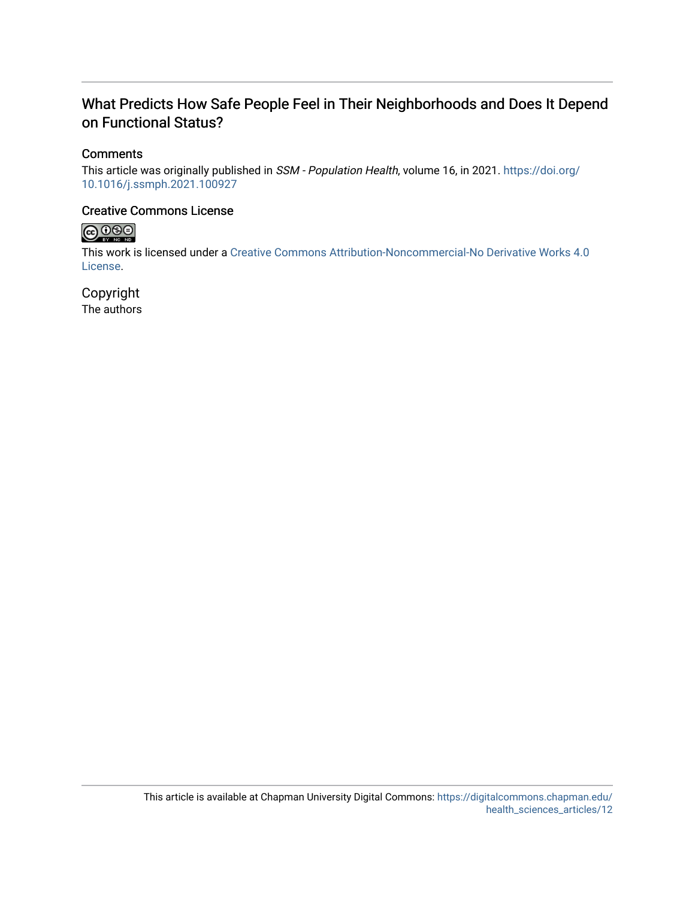# What Predicts How Safe People Feel in Their Neighborhoods and Does It Depend on Functional Status?

# **Comments**

This article was originally published in SSM - Population Health, volume 16, in 2021. [https://doi.org/](https://doi.org/10.1016/j.ssmph.2021.100927) [10.1016/j.ssmph.2021.100927](https://doi.org/10.1016/j.ssmph.2021.100927) 

# Creative Commons License



This work is licensed under a [Creative Commons Attribution-Noncommercial-No Derivative Works 4.0](https://creativecommons.org/licenses/by-nc-nd/4.0/) [License](https://creativecommons.org/licenses/by-nc-nd/4.0/).

Copyright The authors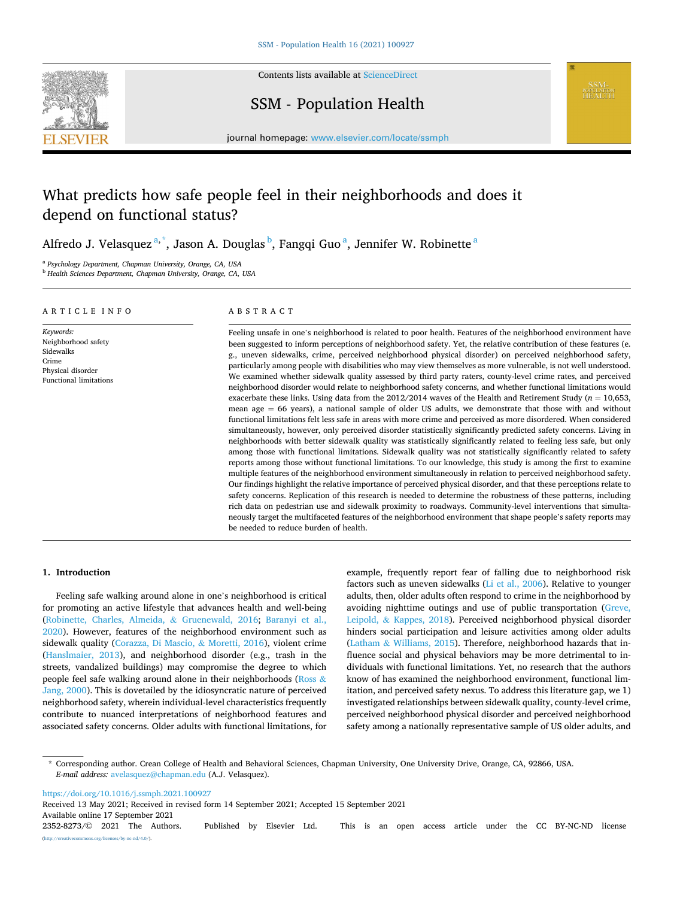

Contents lists available at [ScienceDirect](www.sciencedirect.com/science/journal/23528273)

# SSM - Population Health



journal homepage: [www.elsevier.com/locate/ssmph](https://www.elsevier.com/locate/ssmph)

# What predicts how safe people feel in their neighborhoods and does it depend on functional status?

Alfredo J. Velasquez $^{\mathrm{a},\mathrm{*}}$ , Jason A. Douglas $^{\mathrm{b}}$ , Fangqi Guo $^{\mathrm{a}}$ , Jennifer W. Robinette $^{\mathrm{a}}$ 

<sup>a</sup> *Psychology Department, Chapman University, Orange, CA, USA* 

<sup>b</sup> *Health Sciences Department, Chapman University, Orange, CA, USA* 

## ARTICLE INFO

*Keywords:*  Neighborhood safety Sidewalks Crime Physical disorder Functional limitations

## ABSTRACT

Feeling unsafe in one's neighborhood is related to poor health. Features of the neighborhood environment have been suggested to inform perceptions of neighborhood safety. Yet, the relative contribution of these features (e. g., uneven sidewalks, crime, perceived neighborhood physical disorder) on perceived neighborhood safety, particularly among people with disabilities who may view themselves as more vulnerable, is not well understood. We examined whether sidewalk quality assessed by third party raters, county-level crime rates, and perceived neighborhood disorder would relate to neighborhood safety concerns, and whether functional limitations would exacerbate these links. Using data from the  $2012/2014$  waves of the Health and Retirement Study ( $n = 10,653$ , mean age = 66 years), a national sample of older US adults, we demonstrate that those with and without functional limitations felt less safe in areas with more crime and perceived as more disordered. When considered simultaneously, however, only perceived disorder statistically significantly predicted safety concerns. Living in neighborhoods with better sidewalk quality was statistically significantly related to feeling less safe, but only among those with functional limitations. Sidewalk quality was not statistically significantly related to safety reports among those without functional limitations. To our knowledge, this study is among the first to examine multiple features of the neighborhood environment simultaneously in relation to perceived neighborhood safety. Our findings highlight the relative importance of perceived physical disorder, and that these perceptions relate to safety concerns. Replication of this research is needed to determine the robustness of these patterns, including rich data on pedestrian use and sidewalk proximity to roadways. Community-level interventions that simultaneously target the multifaceted features of the neighborhood environment that shape people's safety reports may be needed to reduce burden of health.

#### **1. Introduction**

Feeling safe walking around alone in one's neighborhood is critical for promoting an active lifestyle that advances health and well-being ([Robinette, Charles, Almeida,](#page-9-0) & Gruenewald, 2016; [Baranyi et al.,](#page-8-0)  [2020\)](#page-8-0). However, features of the neighborhood environment such as sidewalk quality ([Corazza, Di Mascio,](#page-8-0) & Moretti, 2016), violent crime ([Hanslmaier, 2013\)](#page-8-0), and neighborhood disorder (e.g., trash in the streets, vandalized buildings) may compromise the degree to which people feel safe walking around alone in their neighborhoods ([Ross](#page-9-0)  $\&$ [Jang, 2000\)](#page-9-0). This is dovetailed by the idiosyncratic nature of perceived neighborhood safety, wherein individual-level characteristics frequently contribute to nuanced interpretations of neighborhood features and associated safety concerns. Older adults with functional limitations, for example, frequently report fear of falling due to neighborhood risk factors such as uneven sidewalks ([Li et al., 2006\)](#page-9-0). Relative to younger adults, then, older adults often respond to crime in the neighborhood by avoiding nighttime outings and use of public transportation ([Greve,](#page-8-0)  Leipold, & [Kappes, 2018\)](#page-8-0). Perceived neighborhood physical disorder hinders social participation and leisure activities among older adults (Latham & [Williams, 2015\)](#page-9-0). Therefore, neighborhood hazards that influence social and physical behaviors may be more detrimental to individuals with functional limitations. Yet, no research that the authors know of has examined the neighborhood environment, functional limitation, and perceived safety nexus. To address this literature gap, we 1) investigated relationships between sidewalk quality, county-level crime, perceived neighborhood physical disorder and perceived neighborhood safety among a nationally representative sample of US older adults, and

<https://doi.org/10.1016/j.ssmph.2021.100927>

Available online 17 September 2021 2352-8273/© 2021 The Authors. Published by Elsevier Ltd. This is an open access article under the CC BY-NC-ND license [\(http://creativecommons.org/licenses/by-nc-nd/4.0/\)](http://creativecommons.org/licenses/by-nc-nd/4.0/). Received 13 May 2021; Received in revised form 14 September 2021; Accepted 15 September 2021

<sup>\*</sup> Corresponding author. Crean College of Health and Behavioral Sciences, Chapman University, One University Drive, Orange, CA, 92866, USA. *E-mail address:* [avelasquez@chapman.edu](mailto:avelasquez@chapman.edu) (A.J. Velasquez).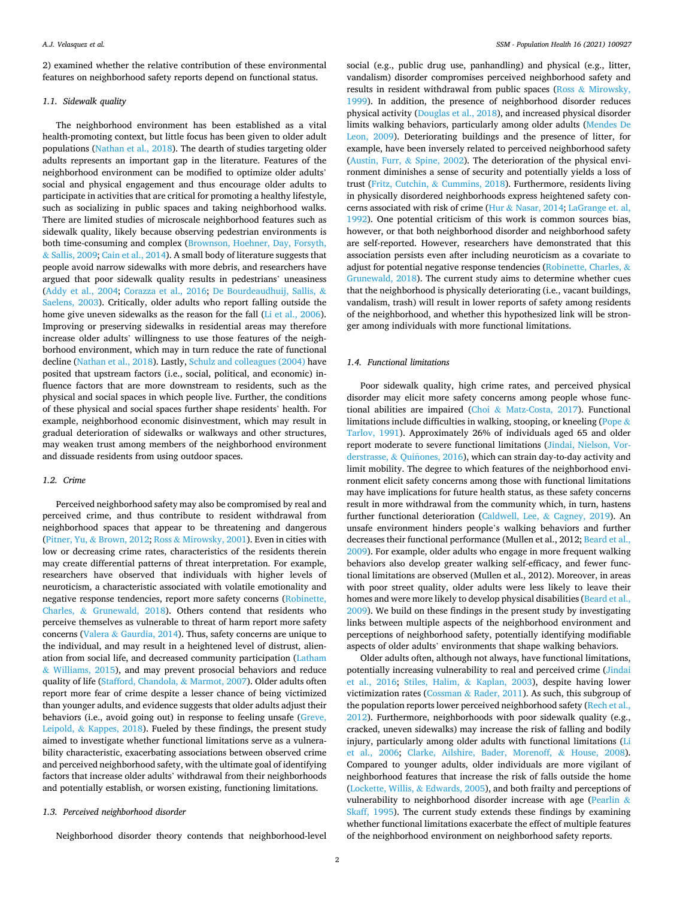2) examined whether the relative contribution of these environmental features on neighborhood safety reports depend on functional status.

## *1.1. Sidewalk quality*

The neighborhood environment has been established as a vital health-promoting context, but little focus has been given to older adult populations [\(Nathan et al., 2018](#page-9-0)). The dearth of studies targeting older adults represents an important gap in the literature. Features of the neighborhood environment can be modified to optimize older adults' social and physical engagement and thus encourage older adults to participate in activities that are critical for promoting a healthy lifestyle, such as socializing in public spaces and taking neighborhood walks. There are limited studies of microscale neighborhood features such as sidewalk quality, likely because observing pedestrian environments is both time-consuming and complex [\(Brownson, Hoehner, Day, Forsyth,](#page-8-0)  & [Sallis, 2009](#page-8-0); [Cain et al., 2014\)](#page-8-0). A small body of literature suggests that people avoid narrow sidewalks with more debris, and researchers have argued that poor sidewalk quality results in pedestrians' uneasiness ([Addy et al., 2004](#page-8-0); [Corazza et al., 2016;](#page-8-0) [De Bourdeaudhuij, Sallis,](#page-8-0) & [Saelens, 2003](#page-8-0)). Critically, older adults who report falling outside the home give uneven sidewalks as the reason for the fall ([Li et al., 2006](#page-9-0)). Improving or preserving sidewalks in residential areas may therefore increase older adults' willingness to use those features of the neighborhood environment, which may in turn reduce the rate of functional decline ([Nathan et al., 2018](#page-9-0)). Lastly, [Schulz and colleagues \(2004\)](#page-9-0) have posited that upstream factors (i.e., social, political, and economic) influence factors that are more downstream to residents, such as the physical and social spaces in which people live. Further, the conditions of these physical and social spaces further shape residents' health. For example, neighborhood economic disinvestment, which may result in gradual deterioration of sidewalks or walkways and other structures, may weaken trust among members of the neighborhood environment and dissuade residents from using outdoor spaces.

#### *1.2. Crime*

Perceived neighborhood safety may also be compromised by real and perceived crime, and thus contribute to resident withdrawal from neighborhood spaces that appear to be threatening and dangerous (Pitner, Yu, & [Brown, 2012](#page-9-0); Ross & [Mirowsky, 2001](#page-9-0)). Even in cities with low or decreasing crime rates, characteristics of the residents therein may create differential patterns of threat interpretation. For example, researchers have observed that individuals with higher levels of neuroticism, a characteristic associated with volatile emotionality and negative response tendencies, report more safety concerns [\(Robinette,](#page-9-0)  Charles, & [Grunewald, 2018](#page-9-0)). Others contend that residents who perceive themselves as vulnerable to threat of harm report more safety concerns (Valera & [Gaurdia, 2014](#page-9-0)). Thus, safety concerns are unique to the individual, and may result in a heightened level of distrust, alienation from social life, and decreased community participation [\(Latham](#page-9-0)  & [Williams, 2015\)](#page-9-0), and may prevent prosocial behaviors and reduce quality of life ([Stafford, Chandola,](#page-9-0) & Marmot, 2007). Older adults often report more fear of crime despite a lesser chance of being victimized than younger adults, and evidence suggests that older adults adjust their behaviors (i.e., avoid going out) in response to feeling unsafe ([Greve,](#page-8-0)  Leipold, & [Kappes, 2018](#page-8-0)). Fueled by these findings, the present study aimed to investigate whether functional limitations serve as a vulnerability characteristic, exacerbating associations between observed crime and perceived neighborhood safety, with the ultimate goal of identifying factors that increase older adults' withdrawal from their neighborhoods and potentially establish, or worsen existing, functioning limitations.

# *1.3. Perceived neighborhood disorder*

Neighborhood disorder theory contends that neighborhood-level

social (e.g., public drug use, panhandling) and physical (e.g., litter, vandalism) disorder compromises perceived neighborhood safety and results in resident withdrawal from public spaces (Ross & [Mirowsky,](#page-9-0)  [1999\)](#page-9-0). In addition, the presence of neighborhood disorder reduces physical activity [\(Douglas et al., 2018](#page-8-0)), and increased physical disorder limits walking behaviors, particularly among older adults [\(Mendes De](#page-9-0)  [Leon, 2009\)](#page-9-0). Deteriorating buildings and the presence of litter, for example, have been inversely related to perceived neighborhood safety ([Austin, Furr,](#page-8-0) & Spine, 2002). The deterioration of the physical environment diminishes a sense of security and potentially yields a loss of trust (Fritz, Cutchin, & [Cummins, 2018\)](#page-8-0). Furthermore, residents living in physically disordered neighborhoods express heightened safety concerns associated with risk of crime (Hur & [Nasar, 2014](#page-8-0); [LaGrange et. al,](#page-8-0)  [1992\)](#page-8-0). One potential criticism of this work is common sources bias, however, or that both neighborhood disorder and neighborhood safety are self-reported. However, researchers have demonstrated that this association persists even after including neuroticism as a covariate to adjust for potential negative response tendencies ([Robinette, Charles,](#page-9-0) & [Grunewald, 2018](#page-9-0)). The current study aims to determine whether cues that the neighborhood is physically deteriorating (i.e., vacant buildings, vandalism, trash) will result in lower reports of safety among residents of the neighborhood, and whether this hypothesized link will be stronger among individuals with more functional limitations.

## *1.4. Functional limitations*

Poor sidewalk quality, high crime rates, and perceived physical disorder may elicit more safety concerns among people whose functional abilities are impaired (Choi & [Matz-Costa, 2017\)](#page-8-0). Functional limitations include difficulties in walking, stooping, or kneeling [\(Pope](#page-9-0) & [Tarlov, 1991](#page-9-0)). Approximately 26% of individuals aged 65 and older report moderate to severe functional limitations [\(Jindai, Nielson, Vor](#page-8-0)[derstrasse,](#page-8-0) & Quiñones, 2016), which can strain day-to-day activity and limit mobility. The degree to which features of the neighborhood environment elicit safety concerns among those with functional limitations may have implications for future health status, as these safety concerns result in more withdrawal from the community which, in turn, hastens further functional deterioration [\(Caldwell, Lee,](#page-8-0) & Cagney, 2019). An unsafe environment hinders people's walking behaviors and further decreases their functional performance (Mullen et al., 2012; [Beard et al.,](#page-8-0)  [2009\)](#page-8-0). For example, older adults who engage in more frequent walking behaviors also develop greater walking self-efficacy, and fewer functional limitations are observed (Mullen et al., 2012). Moreover, in areas with poor street quality, older adults were less likely to leave their homes and were more likely to develop physical disabilities ([Beard et al.,](#page-8-0)  [2009\)](#page-8-0). We build on these findings in the present study by investigating links between multiple aspects of the neighborhood environment and perceptions of neighborhood safety, potentially identifying modifiable aspects of older adults' environments that shape walking behaviors.

Older adults often, although not always, have functional limitations, potentially increasing vulnerability to real and perceived crime ([Jindai](#page-8-0)  [et al., 2016;](#page-8-0) [Stiles, Halim,](#page-9-0) & Kaplan, 2003), despite having lower victimization rates (Cossman & [Rader, 2011](#page-8-0)). As such, this subgroup of the population reports lower perceived neighborhood safety [\(Rech et al.,](#page-9-0)  [2012\)](#page-9-0). Furthermore, neighborhoods with poor sidewalk quality (e.g., cracked, uneven sidewalks) may increase the risk of falling and bodily injury, particularly among older adults with functional limitations ([Li](#page-9-0)  [et al., 2006;](#page-9-0) [Clarke, Ailshire, Bader, Morenoff,](#page-8-0) & House, 2008). Compared to younger adults, older individuals are more vigilant of neighborhood features that increase the risk of falls outside the home ([Lockette, Willis,](#page-9-0) & Edwards, 2005), and both frailty and perceptions of vulnerability to neighborhood disorder increase with age ([Pearlin](#page-9-0) & [Skaff, 1995\)](#page-9-0). The current study extends these findings by examining whether functional limitations exacerbate the effect of multiple features of the neighborhood environment on neighborhood safety reports.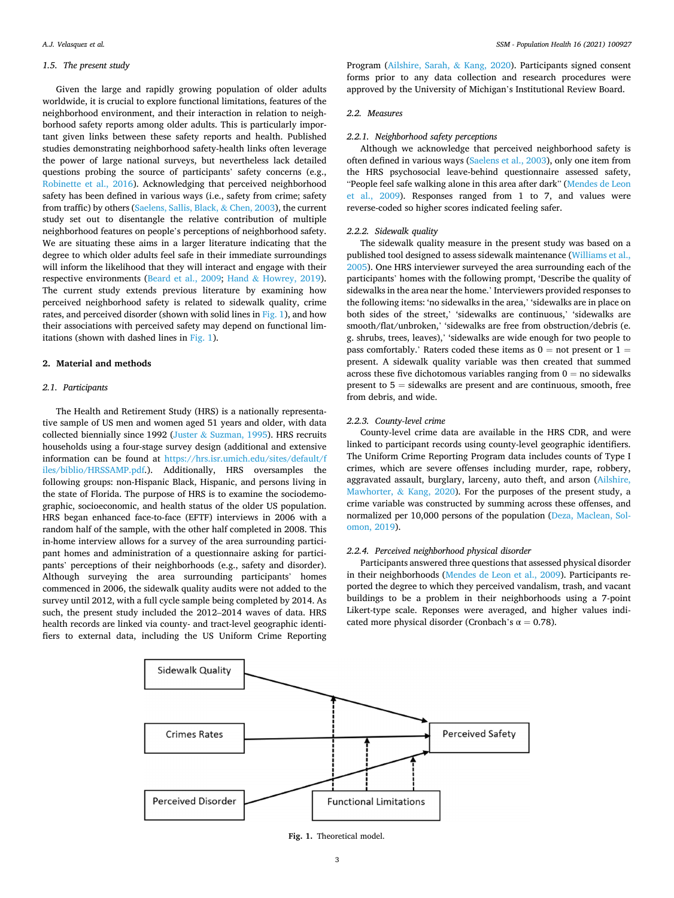#### *1.5. The present study*

Given the large and rapidly growing population of older adults worldwide, it is crucial to explore functional limitations, features of the neighborhood environment, and their interaction in relation to neighborhood safety reports among older adults. This is particularly important given links between these safety reports and health. Published studies demonstrating neighborhood safety-health links often leverage the power of large national surveys, but nevertheless lack detailed questions probing the source of participants' safety concerns (e.g., [Robinette et al., 2016\)](#page-9-0). Acknowledging that perceived neighborhood safety has been defined in various ways (i.e., safety from crime; safety from traffic) by others [\(Saelens, Sallis, Black,](#page-9-0) & Chen, 2003), the current study set out to disentangle the relative contribution of multiple neighborhood features on people's perceptions of neighborhood safety. We are situating these aims in a larger literature indicating that the degree to which older adults feel safe in their immediate surroundings will inform the likelihood that they will interact and engage with their respective environments [\(Beard et al., 2009;](#page-8-0) Hand & [Howrey, 2019](#page-8-0)). The current study extends previous literature by examining how perceived neighborhood safety is related to sidewalk quality, crime rates, and perceived disorder (shown with solid lines in Fig. 1), and how their associations with perceived safety may depend on functional limitations (shown with dashed lines in Fig. 1).

#### **2. Material and methods**

#### *2.1. Participants*

The Health and Retirement Study (HRS) is a nationally representative sample of US men and women aged 51 years and older, with data collected biennially since 1992 (Juster & [Suzman, 1995](#page-8-0)). HRS recruits households using a four-stage survey design (additional and extensive information can be found at [https://hrs.isr.umich.edu/sites/default/f](https://hrs.isr.umich.edu/sites/default/files/biblio/HRSSAMP.pdf)  [iles/biblio/HRSSAMP.pdf.](https://hrs.isr.umich.edu/sites/default/files/biblio/HRSSAMP.pdf)). Additionally, HRS oversamples the following groups: non-Hispanic Black, Hispanic, and persons living in the state of Florida. The purpose of HRS is to examine the sociodemographic, socioeconomic, and health status of the older US population. HRS began enhanced face-to-face (EFTF) interviews in 2006 with a random half of the sample, with the other half completed in 2008. This in-home interview allows for a survey of the area surrounding participant homes and administration of a questionnaire asking for participants' perceptions of their neighborhoods (e.g., safety and disorder). Although surveying the area surrounding participants' homes commenced in 2006, the sidewalk quality audits were not added to the survey until 2012, with a full cycle sample being completed by 2014. As such, the present study included the 2012–2014 waves of data. HRS health records are linked via county- and tract-level geographic identifiers to external data, including the US Uniform Crime Reporting

Program ([Ailshire, Sarah,](#page-8-0) & Kang, 2020). Participants signed consent forms prior to any data collection and research procedures were approved by the University of Michigan's Institutional Review Board.

#### *2.2. Measures*

#### *2.2.1. Neighborhood safety perceptions*

Although we acknowledge that perceived neighborhood safety is often defined in various ways [\(Saelens et al., 2003](#page-9-0)), only one item from the HRS psychosocial leave-behind questionnaire assessed safety, "People feel safe walking alone in this area after dark" [\(Mendes de Leon](#page-9-0)  [et al., 2009](#page-9-0)). Responses ranged from 1 to 7, and values were reverse-coded so higher scores indicated feeling safer.

#### *2.2.2. Sidewalk quality*

The sidewalk quality measure in the present study was based on a published tool designed to assess sidewalk maintenance [\(Williams et al.,](#page-9-0)  [2005\)](#page-9-0). One HRS interviewer surveyed the area surrounding each of the participants' homes with the following prompt, 'Describe the quality of sidewalks in the area near the home.' Interviewers provided responses to the following items: 'no sidewalks in the area,' 'sidewalks are in place on both sides of the street,' 'sidewalks are continuous,' 'sidewalks are smooth/flat/unbroken,' 'sidewalks are free from obstruction/debris (e. g. shrubs, trees, leaves),' 'sidewalks are wide enough for two people to pass comfortably.' Raters coded these items as  $0 =$  not present or  $1 =$ present. A sidewalk quality variable was then created that summed across these five dichotomous variables ranging from  $0 =$  no sidewalks present to  $5 =$  sidewalks are present and are continuous, smooth, free from debris, and wide.

#### *2.2.3. County-level crime*

County-level crime data are available in the HRS CDR, and were linked to participant records using county-level geographic identifiers. The Uniform Crime Reporting Program data includes counts of Type I crimes, which are severe offenses including murder, rape, robbery, aggravated assault, burglary, larceny, auto theft, and arson [\(Ailshire,](#page-8-0)  [Mawhorter,](#page-8-0) & Kang, 2020). For the purposes of the present study, a crime variable was constructed by summing across these offenses, and normalized per 10,000 persons of the population ([Deza, Maclean, Sol](#page-8-0)[omon, 2019](#page-8-0)).

## *2.2.4. Perceived neighborhood physical disorder*

Participants answered three questions that assessed physical disorder in their neighborhoods ([Mendes de Leon et al., 2009](#page-9-0)). Participants reported the degree to which they perceived vandalism, trash, and vacant buildings to be a problem in their neighborhoods using a 7-point Likert-type scale. Reponses were averaged, and higher values indicated more physical disorder (Cronbach's  $\alpha = 0.78$ ).



**Fig. 1.** Theoretical model.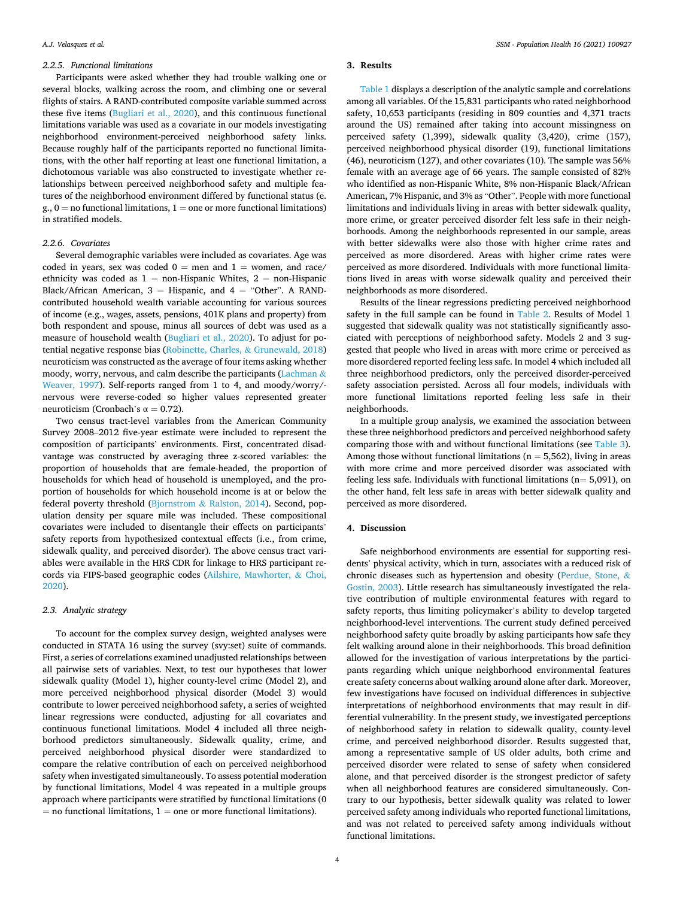#### *2.2.5. Functional limitations*

Participants were asked whether they had trouble walking one or several blocks, walking across the room, and climbing one or several flights of stairs. A RAND-contributed composite variable summed across these five items ([Bugliari et al., 2020](#page-8-0)), and this continuous functional limitations variable was used as a covariate in our models investigating neighborhood environment-perceived neighborhood safety links. Because roughly half of the participants reported no functional limitations, with the other half reporting at least one functional limitation, a dichotomous variable was also constructed to investigate whether relationships between perceived neighborhood safety and multiple features of the neighborhood environment differed by functional status (e.  $g_{\cdot}$ ,  $0 =$  no functional limitations,  $1 =$  one or more functional limitations) in stratified models.

### *2.2.6. Covariates*

Several demographic variables were included as covariates. Age was coded in years, sex was coded  $0 =$  men and  $1 =$  women, and race/ ethnicity was coded as  $1 =$  non-Hispanic Whites,  $2 =$  non-Hispanic Black/African American,  $3 =$  Hispanic, and  $4 =$  "Other". A RANDcontributed household wealth variable accounting for various sources of income (e.g., wages, assets, pensions, 401K plans and property) from both respondent and spouse, minus all sources of debt was used as a measure of household wealth [\(Bugliari et al., 2020](#page-8-0)). To adjust for potential negative response bias ([Robinette, Charles,](#page-9-0) & Grunewald, 2018) neuroticism was constructed as the average of four items asking whether moody, worry, nervous, and calm describe the participants ([Lachman](#page-8-0)  $\&$ [Weaver, 1997\)](#page-8-0). Self-reports ranged from 1 to 4, and moody/worry/nervous were reverse-coded so higher values represented greater neuroticism (Cronbach's α = 0.72).

Two census tract-level variables from the American Community Survey 2008–2012 five-year estimate were included to represent the composition of participants' environments. First, concentrated disadvantage was constructed by averaging three z-scored variables: the proportion of households that are female-headed, the proportion of households for which head of household is unemployed, and the proportion of households for which household income is at or below the federal poverty threshold (Bjornstrom & [Ralston, 2014\)](#page-8-0). Second, population density per square mile was included. These compositional covariates were included to disentangle their effects on participants' safety reports from hypothesized contextual effects (i.e., from crime, sidewalk quality, and perceived disorder). The above census tract variables were available in the HRS CDR for linkage to HRS participant records via FIPS-based geographic codes [\(Ailshire, Mawhorter,](#page-8-0) & Choi, [2020\)](#page-8-0).

## *2.3. Analytic strategy*

To account for the complex survey design, weighted analyses were conducted in STATA 16 using the survey (svy:set) suite of commands. First, a series of correlations examined unadjusted relationships between all pairwise sets of variables. Next, to test our hypotheses that lower sidewalk quality (Model 1), higher county-level crime (Model 2), and more perceived neighborhood physical disorder (Model 3) would contribute to lower perceived neighborhood safety, a series of weighted linear regressions were conducted, adjusting for all covariates and continuous functional limitations. Model 4 included all three neighborhood predictors simultaneously. Sidewalk quality, crime, and perceived neighborhood physical disorder were standardized to compare the relative contribution of each on perceived neighborhood safety when investigated simultaneously. To assess potential moderation by functional limitations, Model 4 was repeated in a multiple groups approach where participants were stratified by functional limitations (0  $=$  no functional limitations,  $1 =$  one or more functional limitations).

#### **3. Results**

[Table 1](#page-6-0) displays a description of the analytic sample and correlations among all variables. Of the 15,831 participants who rated neighborhood safety, 10,653 participants (residing in 809 counties and 4,371 tracts around the US) remained after taking into account missingness on perceived safety (1,399), sidewalk quality (3,420), crime (157), perceived neighborhood physical disorder (19), functional limitations (46), neuroticism (127), and other covariates (10). The sample was 56% female with an average age of 66 years. The sample consisted of 82% who identified as non-Hispanic White, 8% non-Hispanic Black/African American, 7% Hispanic, and 3% as "Other". People with more functional limitations and individuals living in areas with better sidewalk quality, more crime, or greater perceived disorder felt less safe in their neighborhoods. Among the neighborhoods represented in our sample, areas with better sidewalks were also those with higher crime rates and perceived as more disordered. Areas with higher crime rates were perceived as more disordered. Individuals with more functional limitations lived in areas with worse sidewalk quality and perceived their neighborhoods as more disordered.

Results of the linear regressions predicting perceived neighborhood safety in the full sample can be found in [Table 2.](#page-6-0) Results of Model 1 suggested that sidewalk quality was not statistically significantly associated with perceptions of neighborhood safety. Models 2 and 3 suggested that people who lived in areas with more crime or perceived as more disordered reported feeling less safe. In model 4 which included all three neighborhood predictors, only the perceived disorder-perceived safety association persisted. Across all four models, individuals with more functional limitations reported feeling less safe in their neighborhoods.

In a multiple group analysis, we examined the association between these three neighborhood predictors and perceived neighborhood safety comparing those with and without functional limitations (see [Table 3](#page-6-0)). Among those without functional limitations ( $n = 5,562$ ), living in areas with more crime and more perceived disorder was associated with feeling less safe. Individuals with functional limitations ( $n= 5,091$ ), on the other hand, felt less safe in areas with better sidewalk quality and perceived as more disordered.

### **4. Discussion**

Safe neighborhood environments are essential for supporting residents' physical activity, which in turn, associates with a reduced risk of chronic diseases such as hypertension and obesity ([Perdue, Stone,](#page-9-0) & [Gostin, 2003\)](#page-9-0). Little research has simultaneously investigated the relative contribution of multiple environmental features with regard to safety reports, thus limiting policymaker's ability to develop targeted neighborhood-level interventions. The current study defined perceived neighborhood safety quite broadly by asking participants how safe they felt walking around alone in their neighborhoods. This broad definition allowed for the investigation of various interpretations by the participants regarding which unique neighborhood environmental features create safety concerns about walking around alone after dark. Moreover, few investigations have focused on individual differences in subjective interpretations of neighborhood environments that may result in differential vulnerability. In the present study, we investigated perceptions of neighborhood safety in relation to sidewalk quality, county-level crime, and perceived neighborhood disorder. Results suggested that, among a representative sample of US older adults, both crime and perceived disorder were related to sense of safety when considered alone, and that perceived disorder is the strongest predictor of safety when all neighborhood features are considered simultaneously. Contrary to our hypothesis, better sidewalk quality was related to lower perceived safety among individuals who reported functional limitations, and was not related to perceived safety among individuals without functional limitations.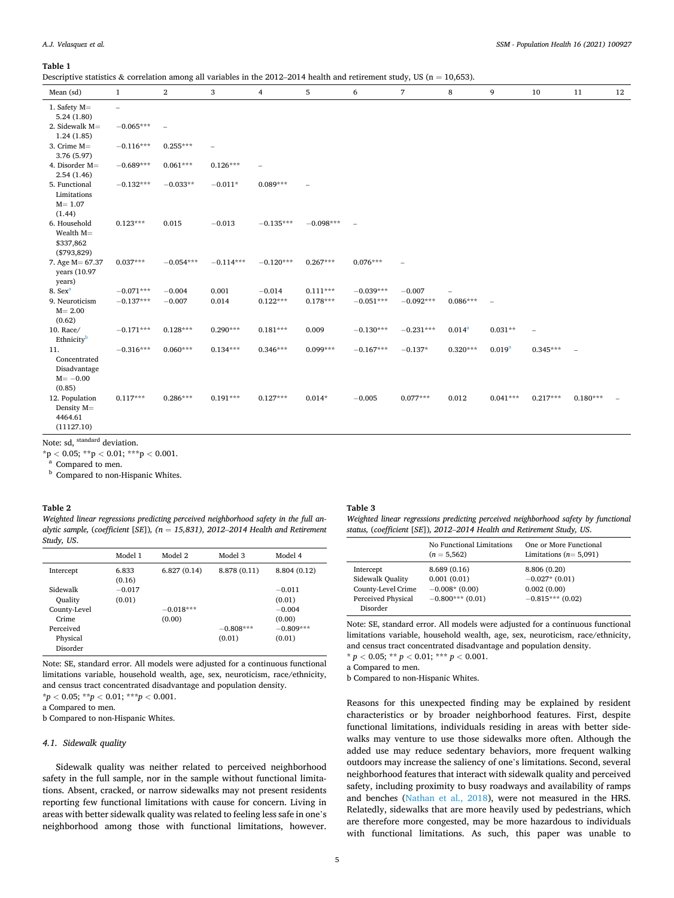#### <span id="page-6-0"></span>**Table 1**

Descriptive statistics & correlation among all variables in the 2012–2014 health and retirement study, US (n = 10,653).

| Mean (sd)                     | $\mathbf{1}$             | $\overline{a}$ | $\,$ 3 $\,$              | 4                        | 5           | 6           | $\overline{7}$ | 8                  | 9           | 10         | 11         | 12 |
|-------------------------------|--------------------------|----------------|--------------------------|--------------------------|-------------|-------------|----------------|--------------------|-------------|------------|------------|----|
| 1. Safety $M=$                | $\overline{\phantom{0}}$ |                |                          |                          |             |             |                |                    |             |            |            |    |
| 5.24(1.80)                    |                          |                |                          |                          |             |             |                |                    |             |            |            |    |
| 2. Sidewalk M=                | $-0.065***$              | $\overline{a}$ |                          |                          |             |             |                |                    |             |            |            |    |
| 1.24(1.85)                    |                          |                |                          |                          |             |             |                |                    |             |            |            |    |
| 3. Crime $M=$                 | $-0.116***$              | $0.255***$     | $\overline{\phantom{0}}$ |                          |             |             |                |                    |             |            |            |    |
| 3.76 (5.97)                   |                          |                |                          |                          |             |             |                |                    |             |            |            |    |
| 4. Disorder M=                | $-0.689***$              | $0.061***$     | $0.126***$               | $\overline{\phantom{0}}$ |             |             |                |                    |             |            |            |    |
| 2.54(1.46)                    |                          |                |                          |                          |             |             |                |                    |             |            |            |    |
| 5. Functional                 | $-0.132***$              | $-0.033**$     | $-0.011*$                | $0.089***$               |             |             |                |                    |             |            |            |    |
| Limitations                   |                          |                |                          |                          |             |             |                |                    |             |            |            |    |
| $M = 1.07$                    |                          |                |                          |                          |             |             |                |                    |             |            |            |    |
| (1.44)                        |                          |                |                          |                          |             |             |                |                    |             |            |            |    |
| 6. Household                  | $0.123***$               | 0.015          | $-0.013$                 | $-0.135***$              | $-0.098***$ |             |                |                    |             |            |            |    |
| Wealth $M=$                   |                          |                |                          |                          |             |             |                |                    |             |            |            |    |
| \$337,862                     |                          |                |                          |                          |             |             |                |                    |             |            |            |    |
| (\$793,829)                   |                          |                |                          | $-0.120***$              |             |             |                |                    |             |            |            |    |
| 7. Age M = 67.37              | $0.037***$               | $-0.054***$    | $-0.114***$              |                          | $0.267***$  | $0.076***$  |                |                    |             |            |            |    |
| years (10.97                  |                          |                |                          |                          |             |             |                |                    |             |            |            |    |
| years)<br>8. Sex <sup>a</sup> | $-0.071***$              | $-0.004$       | 0.001                    | $-0.014$                 | $0.111***$  | $-0.039***$ | $-0.007$       |                    |             |            |            |    |
| 9. Neuroticism                | $-0.137***$              | $-0.007$       | 0.014                    | $0.122***$               | $0.178***$  | $-0.051***$ | $-0.092***$    | $0.086***$         |             |            |            |    |
| $M = 2.00$                    |                          |                |                          |                          |             |             |                |                    |             |            |            |    |
| (0.62)                        |                          |                |                          |                          |             |             |                |                    |             |            |            |    |
| 10. Race/                     | $-0.171***$              | $0.128***$     | $0.290***$               | $0.181***$               | 0.009       | $-0.130***$ | $-0.231***$    | 0.014 <sup>a</sup> | $0.031**$   |            |            |    |
| Ethnicity <sup>b</sup>        |                          |                |                          |                          |             |             |                |                    |             |            |            |    |
| 11.                           | $-0.316***$              | $0.060***$     | $0.134***$               | $0.346***$               | $0.099***$  | $-0.167***$ | $-0.137*$      | $0.320***$         | $0.019^{a}$ | $0.345***$ |            |    |
| Concentrated                  |                          |                |                          |                          |             |             |                |                    |             |            |            |    |
| Disadvantage                  |                          |                |                          |                          |             |             |                |                    |             |            |            |    |
| $M = -0.00$                   |                          |                |                          |                          |             |             |                |                    |             |            |            |    |
| (0.85)                        |                          |                |                          |                          |             |             |                |                    |             |            |            |    |
| 12. Population                | $0.117***$               | $0.286***$     | $0.191***$               | $0.127***$               | $0.014*$    | $-0.005$    | $0.077***$     | 0.012              | $0.041***$  | $0.217***$ | $0.180***$ |    |
| Density M=                    |                          |                |                          |                          |             |             |                |                    |             |            |            |    |
| 4464.61                       |                          |                |                          |                          |             |             |                |                    |             |            |            |    |
| (11127.10)                    |                          |                |                          |                          |             |             |                |                    |             |            |            |    |
|                               |                          |                |                          |                          |             |             |                |                    |             |            |            |    |

Note: sd, <sup>standard</sup> deviation.<br>\*p < 0.05; \*\*p < 0.01; \*\*\*p < 0.001.

 $\rm{^a}$  Compared to men.  $\rm{^b}$  Compared to non-Hispanic Whites.

#### **Table 2**

*Weighted linear regressions predicting perceived neighborhood safety in the full analytic sample,* (*coefficient* [*SE*])*, (n* = *15,831), 2012*–*2014 Health and Retirement Study, US*.

|              | Model 1         | Model 2     | Model 3      | Model 4      |
|--------------|-----------------|-------------|--------------|--------------|
| Intercept    | 6.833<br>(0.16) | 6.827(0.14) | 8.878 (0.11) | 8.804 (0.12) |
| Sidewalk     | $-0.017$        |             |              | $-0.011$     |
| Ouality      | (0.01)          |             |              | (0.01)       |
| County-Level |                 | $-0.018***$ |              | $-0.004$     |
| Crime        |                 | (0.00)      |              | (0.00)       |
| Perceived    |                 |             | $-0.808***$  | $-0.809***$  |
| Physical     |                 |             | (0.01)       | (0.01)       |
| Disorder     |                 |             |              |              |

Note: SE, standard error. All models were adjusted for a continuous functional limitations variable, household wealth, age, sex, neuroticism, race/ethnicity, and census tract concentrated disadvantage and population density.

\**p <* 0.05; \*\**p <* 0.01; \*\*\**p <* 0.001.

a Compared to men.

b Compared to non-Hispanic Whites.

#### *4.1. Sidewalk quality*

Sidewalk quality was neither related to perceived neighborhood safety in the full sample, nor in the sample without functional limitations. Absent, cracked, or narrow sidewalks may not present residents reporting few functional limitations with cause for concern. Living in areas with better sidewalk quality was related to feeling less safe in one's neighborhood among those with functional limitations, however.

#### **Table 3**

*Weighted linear regressions predicting perceived neighborhood safety by functional status,* (*coefficient* [*SE*])*, 2012*–*2014 Health and Retirement Study, US*.

|                                                                                       | No Functional Limitations<br>$(n = 5,562)$                         | One or More Functional<br>Limitations ( $n=5,091$ )                 |
|---------------------------------------------------------------------------------------|--------------------------------------------------------------------|---------------------------------------------------------------------|
| Intercept<br>Sidewalk Quality<br>County-Level Crime<br>Perceived Physical<br>Disorder | 8.689(0.16)<br>0.001(0.01)<br>$-0.008*(0.00)$<br>$-0.800***(0.01)$ | 8.806 (0.20)<br>$-0.027*(0.01)$<br>0.002(0.00)<br>$-0.815***(0.02)$ |

Note: SE, standard error. All models were adjusted for a continuous functional limitations variable, household wealth, age, sex, neuroticism, race/ethnicity, and census tract concentrated disadvantage and population density.

 $^{\star}$   $p$   $<$  0.05;  $^{\star\star}$   $p$   $<$  0.01;  $^{\star\star\star}$   $p$   $<$  0.001.

a Compared to men.

b Compared to non-Hispanic Whites.

Reasons for this unexpected finding may be explained by resident characteristics or by broader neighborhood features. First, despite functional limitations, individuals residing in areas with better sidewalks may venture to use those sidewalks more often. Although the added use may reduce sedentary behaviors, more frequent walking outdoors may increase the saliency of one's limitations. Second, several neighborhood features that interact with sidewalk quality and perceived safety, including proximity to busy roadways and availability of ramps and benches ([Nathan et al., 2018](#page-9-0)), were not measured in the HRS. Relatedly, sidewalks that are more heavily used by pedestrians, which are therefore more congested, may be more hazardous to individuals with functional limitations. As such, this paper was unable to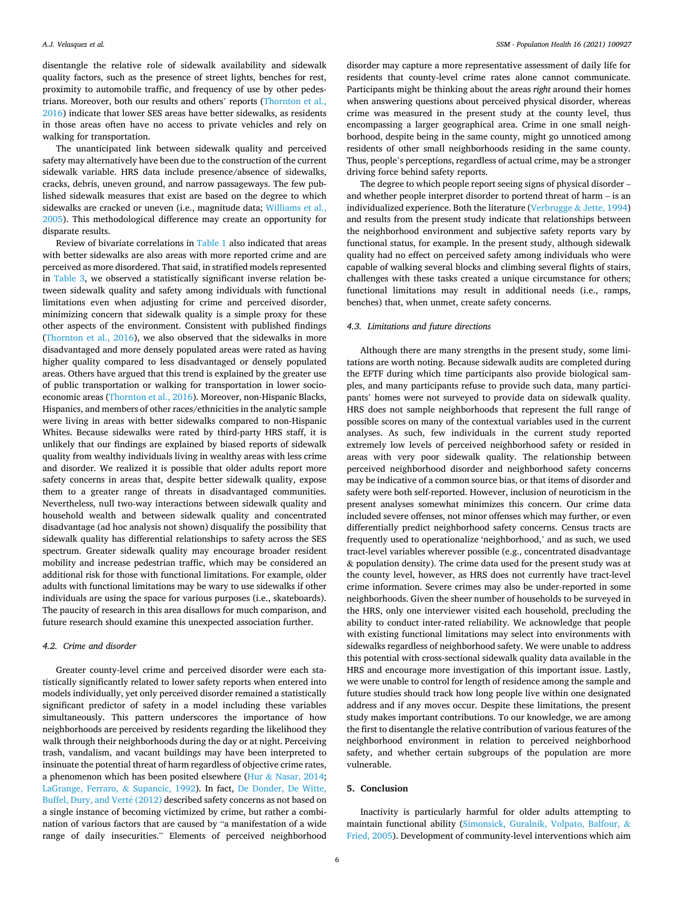disentangle the relative role of sidewalk availability and sidewalk quality factors, such as the presence of street lights, benches for rest, proximity to automobile traffic, and frequency of use by other pedestrians. Moreover, both our results and others' reports [\(Thornton et al.,](#page-9-0)  [2016\)](#page-9-0) indicate that lower SES areas have better sidewalks, as residents in those areas often have no access to private vehicles and rely on walking for transportation.

The unanticipated link between sidewalk quality and perceived safety may alternatively have been due to the construction of the current sidewalk variable. HRS data include presence/absence of sidewalks, cracks, debris, uneven ground, and narrow passageways. The few published sidewalk measures that exist are based on the degree to which sidewalks are cracked or uneven (i.e., magnitude data; [Williams et al.,](#page-9-0)  [2005\)](#page-9-0). This methodological difference may create an opportunity for disparate results.

Review of bivariate correlations in [Table 1](#page-6-0) also indicated that areas with better sidewalks are also areas with more reported crime and are perceived as more disordered. That said, in stratified models represented in [Table 3,](#page-6-0) we observed a statistically significant inverse relation between sidewalk quality and safety among individuals with functional limitations even when adjusting for crime and perceived disorder, minimizing concern that sidewalk quality is a simple proxy for these other aspects of the environment. Consistent with published findings ([Thornton et al., 2016](#page-9-0)), we also observed that the sidewalks in more disadvantaged and more densely populated areas were rated as having higher quality compared to less disadvantaged or densely populated areas. Others have argued that this trend is explained by the greater use of public transportation or walking for transportation in lower socioeconomic areas [\(Thornton et al., 2016](#page-9-0)). Moreover, non-Hispanic Blacks, Hispanics, and members of other races/ethnicities in the analytic sample were living in areas with better sidewalks compared to non-Hispanic Whites. Because sidewalks were rated by third-party HRS staff, it is unlikely that our findings are explained by biased reports of sidewalk quality from wealthy individuals living in wealthy areas with less crime and disorder. We realized it is possible that older adults report more safety concerns in areas that, despite better sidewalk quality, expose them to a greater range of threats in disadvantaged communities. Nevertheless, null two-way interactions between sidewalk quality and household wealth and between sidewalk quality and concentrated disadvantage (ad hoc analysis not shown) disqualify the possibility that sidewalk quality has differential relationships to safety across the SES spectrum. Greater sidewalk quality may encourage broader resident mobility and increase pedestrian traffic, which may be considered an additional risk for those with functional limitations. For example, older adults with functional limitations may be wary to use sidewalks if other individuals are using the space for various purposes (i.e., skateboards). The paucity of research in this area disallows for much comparison, and future research should examine this unexpected association further.

# *4.2. Crime and disorder*

Greater county-level crime and perceived disorder were each statistically significantly related to lower safety reports when entered into models individually, yet only perceived disorder remained a statistically significant predictor of safety in a model including these variables simultaneously. This pattern underscores the importance of how neighborhoods are perceived by residents regarding the likelihood they walk through their neighborhoods during the day or at night. Perceiving trash, vandalism, and vacant buildings may have been interpreted to insinuate the potential threat of harm regardless of objective crime rates, a phenomenon which has been posited elsewhere (Hur & [Nasar, 2014](#page-8-0); [LaGrange, Ferraro,](#page-8-0) & Supancic, 1992). In fact, [De Donder, De Witte,](#page-8-0)  [Buffel, Dury, and Vert](#page-8-0)é (2012) described safety concerns as not based on a single instance of becoming victimized by crime, but rather a combination of various factors that are caused by "a manifestation of a wide range of daily insecurities." Elements of perceived neighborhood

disorder may capture a more representative assessment of daily life for residents that county-level crime rates alone cannot communicate. Participants might be thinking about the areas *right* around their homes when answering questions about perceived physical disorder, whereas crime was measured in the present study at the county level, thus encompassing a larger geographical area. Crime in one small neighborhood, despite being in the same county, might go unnoticed among residents of other small neighborhoods residing in the same county. Thus, people's perceptions, regardless of actual crime, may be a stronger driving force behind safety reports.

The degree to which people report seeing signs of physical disorder – and whether people interpret disorder to portend threat of harm – is an individualized experience. Both the literature (Verbrugge & [Jette, 1994\)](#page-9-0) and results from the present study indicate that relationships between the neighborhood environment and subjective safety reports vary by functional status, for example. In the present study, although sidewalk quality had no effect on perceived safety among individuals who were capable of walking several blocks and climbing several flights of stairs, challenges with these tasks created a unique circumstance for others; functional limitations may result in additional needs (i.e., ramps, benches) that, when unmet, create safety concerns.

## *4.3. Limitations and future directions*

Although there are many strengths in the present study, some limitations are worth noting. Because sidewalk audits are completed during the EFTF during which time participants also provide biological samples, and many participants refuse to provide such data, many participants' homes were not surveyed to provide data on sidewalk quality. HRS does not sample neighborhoods that represent the full range of possible scores on many of the contextual variables used in the current analyses. As such, few individuals in the current study reported extremely low levels of perceived neighborhood safety or resided in areas with very poor sidewalk quality. The relationship between perceived neighborhood disorder and neighborhood safety concerns may be indicative of a common source bias, or that items of disorder and safety were both self-reported. However, inclusion of neuroticism in the present analyses somewhat minimizes this concern. Our crime data included severe offenses, not minor offenses which may further, or even differentially predict neighborhood safety concerns. Census tracts are frequently used to operationalize 'neighborhood,' and as such, we used tract-level variables wherever possible (e.g., concentrated disadvantage & population density). The crime data used for the present study was at the county level, however, as HRS does not currently have tract-level crime information. Severe crimes may also be under-reported in some neighborhoods. Given the sheer number of households to be surveyed in the HRS, only one interviewer visited each household, precluding the ability to conduct inter-rated reliability. We acknowledge that people with existing functional limitations may select into environments with sidewalks regardless of neighborhood safety. We were unable to address this potential with cross-sectional sidewalk quality data available in the HRS and encourage more investigation of this important issue. Lastly, we were unable to control for length of residence among the sample and future studies should track how long people live within one designated address and if any moves occur. Despite these limitations, the present study makes important contributions. To our knowledge, we are among the first to disentangle the relative contribution of various features of the neighborhood environment in relation to perceived neighborhood safety, and whether certain subgroups of the population are more vulnerable.

# **5. Conclusion**

Inactivity is particularly harmful for older adults attempting to maintain functional ability [\(Simonsick, Guralnik, Volpato, Balfour,](#page-9-0) & [Fried, 2005\)](#page-9-0). Development of community-level interventions which aim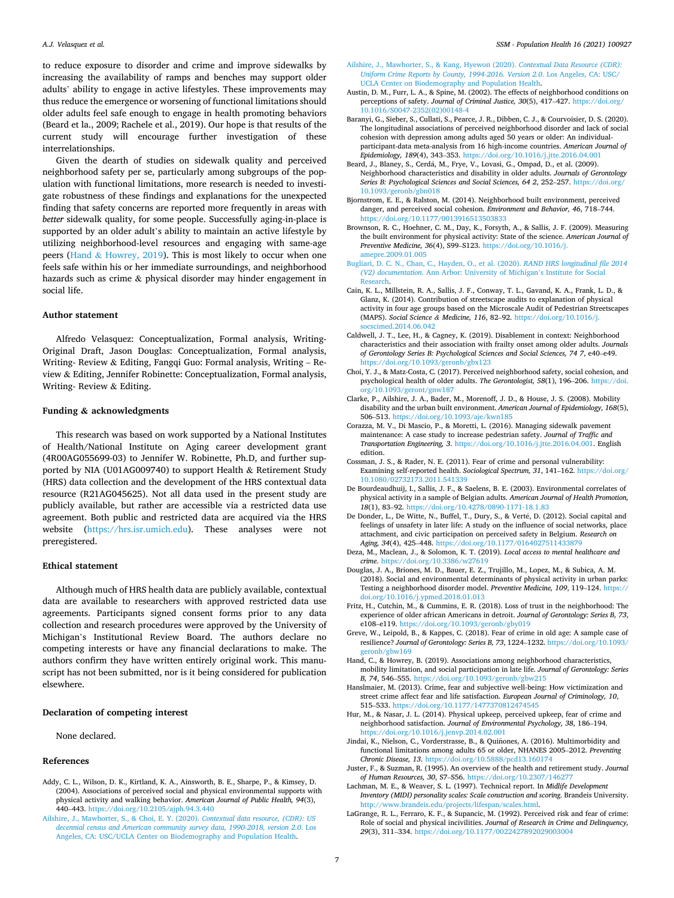<span id="page-8-0"></span>to reduce exposure to disorder and crime and improve sidewalks by increasing the availability of ramps and benches may support older adults' ability to engage in active lifestyles. These improvements may thus reduce the emergence or worsening of functional limitations should older adults feel safe enough to engage in health promoting behaviors (Beard et la., 2009; Rachele et al., 2019). Our hope is that results of the current study will encourage further investigation of these interrelationships.

Given the dearth of studies on sidewalk quality and perceived neighborhood safety per se, particularly among subgroups of the population with functional limitations, more research is needed to investigate robustness of these findings and explanations for the unexpected finding that safety concerns are reported more frequently in areas with *better* sidewalk quality, for some people. Successfully aging-in-place is supported by an older adult's ability to maintain an active lifestyle by utilizing neighborhood-level resources and engaging with same-age peers (Hand  $&$  Howrey, 2019). This is most likely to occur when one feels safe within his or her immediate surroundings, and neighborhood hazards such as crime & physical disorder may hinder engagement in social life.

#### **Author statement**

Alfredo Velasquez: Conceptualization, Formal analysis, Writing-Original Draft, Jason Douglas: Conceptualization, Formal analysis, Writing- Review & Editing, Fangqi Guo: Formal analysis, Writing – Review & Editing, Jennifer Robinette: Conceptualization, Formal analysis, Writing- Review & Editing.

## **Funding & acknowledgments**

This research was based on work supported by a National Institutes of Health/National Institute on Aging career development grant (4R00AG055699-03) to Jennifer W. Robinette, Ph.D, and further supported by NIA (U01AG009740) to support Health & Retirement Study (HRS) data collection and the development of the HRS contextual data resource (R21AG045625). Not all data used in the present study are publicly available, but rather are accessible via a restricted data use agreement. Both public and restricted data are acquired via the HRS website [\(https://hrs.isr.umich.edu\)](https://hrs.isr.umich.edu). These analyses were not preregistered.

### **Ethical statement**

Although much of HRS health data are publicly available, contextual data are available to researchers with approved restricted data use agreements. Participants signed consent forms prior to any data collection and research procedures were approved by the University of Michigan's Institutional Review Board. The authors declare no competing interests or have any financial declarations to make. The authors confirm they have written entirely original work. This manuscript has not been submitted, nor is it being considered for publication elsewhere.

#### **Declaration of competing interest**

None declared.

#### **References**

- Addy, C. L., Wilson, D. K., Kirtland, K. A., Ainsworth, B. E., Sharpe, P., & Kimsey, D. (2004). Associations of perceived social and physical environmental supports with physical activity and walking behavior. *American Journal of Public Health, 94*(3), 440–443. <https://doi.org/10.2105/ajph.94.3.440>
- [Ailshire, J., Mawhorter, S., & Choi, E. Y. \(2020\).](http://refhub.elsevier.com/S2352-8273(21)00202-0/sref2) *Contextual data resource, (CDR): US [decennial census and American community survey data, 1990-2018, version 2.0](http://refhub.elsevier.com/S2352-8273(21)00202-0/sref2)*. Los [Angeles, CA: USC/UCLA Center on Biodemography and Population Health.](http://refhub.elsevier.com/S2352-8273(21)00202-0/sref2)
- [Ailshire, J., Mawhorter, S., & Kang, Hyewon \(2020\).](http://refhub.elsevier.com/S2352-8273(21)00202-0/sref3) *Contextual Data Resource (CDR): [Uniform Crime Reports by County, 1994-2016. Version 2.0](http://refhub.elsevier.com/S2352-8273(21)00202-0/sref3)*. Los Angeles, CA: USC/ [UCLA Center on Biodemography and Population Health.](http://refhub.elsevier.com/S2352-8273(21)00202-0/sref3)
- Austin, D. M., Furr, L. A., & Spine, M. (2002). The effects of neighborhood conditions on perceptions of safety. *Journal of Criminal Justice*, 30(5), 417-427. https://doi.org [10.1016/S0047-2352\(02\)00148-4](https://doi.org/10.1016/S0047-2352(02)00148-4)
- Baranyi, G., Sieber, S., Cullati, S., Pearce, J. R., Dibben, C. J., & Courvoisier, D. S. (2020). The longitudinal associations of perceived neighborhood disorder and lack of social cohesion with depression among adults aged 50 years or older: An individualparticipant-data meta-analysis from 16 high-income countries. *American Journal of Epidemiology, 189*(4), 343–353.<https://doi.org/10.1016/j.jtte.2016.04.001>
- Beard, J., Blaney, S., Cerdá, M., Frye, V., Lovasi, G., Ompad, D., et al. (2009). Neighborhood characteristics and disability in older adults. *Journals of Gerontology Series B: Psychological Sciences and Social Sciences, 64 2*, 252–257. [https://doi.org/](https://doi.org/10.1093/geronb/gbn018) [10.1093/geronb/gbn018](https://doi.org/10.1093/geronb/gbn018)
- Bjornstrom, E. E., & Ralston, M. (2014). Neighborhood built environment, perceived danger, and perceived social cohesion. *Environment and Behavior, 46*, 718–744. <https://doi.org/10.1177/0013916513503833>
- Brownson, R. C., Hoehner, C. M., Day, K., Forsyth, A., & Sallis, J. F. (2009). Measuring the built environment for physical activity: State of the science. *American Journal of Preventive Medicine, 36*(4), S99–S123. [https://doi.org/10.1016/j.](https://doi.org/10.1016/j.amepre.2009.01.005) [amepre.2009.01.005](https://doi.org/10.1016/j.amepre.2009.01.005)
- [Bugliari, D. C. N., Chan, C., Hayden, O., et al. \(2020\).](http://refhub.elsevier.com/S2352-8273(21)00202-0/sref9) *RAND HRS longitudinal file 2014 (V2) documentation*[. Ann Arbor: University of Michigan](http://refhub.elsevier.com/S2352-8273(21)00202-0/sref9)'s Institute for Social [Research.](http://refhub.elsevier.com/S2352-8273(21)00202-0/sref9)
- Cain, K. L., Millstein, R. A., Sallis, J. F., Conway, T. L., Gavand, K. A., Frank, L. D., & Glanz, K. (2014). Contribution of streetscape audits to explanation of physical activity in four age groups based on the Microscale Audit of Pedestrian Streetscapes (MAPS). *Social Science & Medicine, 116*, 82–92. [https://doi.org/10.1016/j.](https://doi.org/10.1016/j.socscimed.2014.06.042) [socscimed.2014.06.042](https://doi.org/10.1016/j.socscimed.2014.06.042)
- Caldwell, J. T., Lee, H., & Cagney, K. (2019). Disablement in context: Neighborhood characteristics and their association with frailty onset among older adults. *Journals of Gerontology Series B: Psychological Sciences and Social Sciences, 74 7*, e40–e49. <https://doi.org/10.1093/geronb/gbx123>
- Choi, Y. J., & Matz-Costa, C. (2017). Perceived neighborhood safety, social cohesion, and psychological health of older adults. *The Gerontologist, 58*(1), 196–206. [https://doi.](https://doi.org/10.1093/geront/gnw187)  [org/10.1093/geront/gnw187](https://doi.org/10.1093/geront/gnw187)
- Clarke, P., Ailshire, J. A., Bader, M., Morenoff, J. D., & House, J. S. (2008). Mobility disability and the urban built environment. *American Journal of Epidemiology, 168*(5), 506–513. <https://doi.org/10.1093/aje/kwn185>
- Corazza, M. V., Di Mascio, P., & Moretti, L. (2016). Managing sidewalk pavement maintenance: A case study to increase pedestrian safety. *Journal of Traffic and Transportation Engineering, 3*. <https://doi.org/10.1016/j.jtte.2016.04.001>. English edition.
- Cossman, J. S., & Rader, N. E. (2011). Fear of crime and personal vulnerability: Examining self-reported health. *Sociological Spectrum, 31*, 141–162. [https://doi.org/](https://doi.org/10.1080/02732173.2011.541339)  [10.1080/02732173.2011.541339](https://doi.org/10.1080/02732173.2011.541339)
- De Bourdeaudhuij, I., Sallis, J. F., & Saelens, B. E. (2003). Environmental correlates of physical activity in a sample of Belgian adults. *American Journal of Health Promotion, 18*(1), 83–92.<https://doi.org/10.4278/0890-1171-18.1.83>
- De Donder, L., De Witte, N., Buffel, T., Dury, S., & Verté, D. (2012). Social capital and feelings of unsafety in later life: A study on the influence of social networks, place attachment, and civic participation on perceived safety in Belgium. *Research on Aging, 34*(4), 425–448.<https://doi.org/10.1177/0164027511433879>
- Deza, M., Maclean, J., & Solomon, K. T. (2019). *Local access to mental healthcare and crime*. <https://doi.org/10.3386/w27619>
- Douglas, J. A., Briones, M. D., Bauer, E. Z., Trujillo, M., Lopez, M., & Subica, A. M. (2018). Social and environmental determinants of physical activity in urban parks: Testing a neighborhood disorder model. *Preventive Medicine, 109*, 119–124. [https://](https://doi.org/10.1016/j.ypmed.2018.01.013)  [doi.org/10.1016/j.ypmed.2018.01.013](https://doi.org/10.1016/j.ypmed.2018.01.013)
- Fritz, H., Cutchin, M., & Cummins, E. R. (2018). Loss of trust in the neighborhood: The experience of older african Americans in detroit. *Journal of Gerontology: Series B, 73*, e108–e119.<https://doi.org/10.1093/geronb/gby019>
- Greve, W., Leipold, B., & Kappes, C. (2018). Fear of crime in old age: A sample case of resilience? *Journal of Gerontology: Series B, 73*, 1224–1232. [https://doi.org/10.1093/](https://doi.org/10.1093/geronb/gbw169)  [geronb/gbw169](https://doi.org/10.1093/geronb/gbw169)
- Hand, C., & Howrey, B. (2019). Associations among neighborhood characteristics, mobility limitation, and social participation in late life. *Journal of Gerontology: Series B, 74*, 546–555. <https://doi.org/10.1093/geronb/gbw215>
- Hanslmaier, M. (2013). Crime, fear and subjective well-being: How victimization and street crime affect fear and life satisfaction. *European Journal of Criminology, 10*, 515–533. <https://doi.org/10.1177/1477370812474545>
- Hur, M., & Nasar, J. L. (2014). Physical upkeep, perceived upkeep, fear of crime and neighborhood satisfaction. *Journal of Environmental Psychology, 38*, 186–194. <https://doi.org/10.1016/j.jenvp.2014.02.001>
- Jindai, K., Nielson, C., Vorderstrasse, B., & Quiñones, A. (2016). Multimorbidity and functional limitations among adults 65 or older, NHANES 2005–2012. *Preventing Chronic Disease, 13*. <https://doi.org/10.5888/pcd13.160174>
- Juster, F., & Suzman, R. (1995). An overview of the health and retirement study. *Journal*  of Human Resources, 30, S7-S56. https://doi.org/10.2307/
- Lachman, M. E., & Weaver, S. L. (1997). Technical report. In *Midlife Development Inventory (MIDI) personality scales: Scale construction and scoring*. Brandeis University. [http://www.brandeis.edu/projects/lifespan/scales.html.](http://www.brandeis.edu/projects/lifespan/scales.html)
- LaGrange, R. L., Ferraro, K. F., & Supancic, M. (1992). Perceived risk and fear of crime: Role of social and physical incivilities. *Journal of Research in Crime and Delinquency, 29*(3), 311–334. <https://doi.org/10.1177/0022427892029003004>